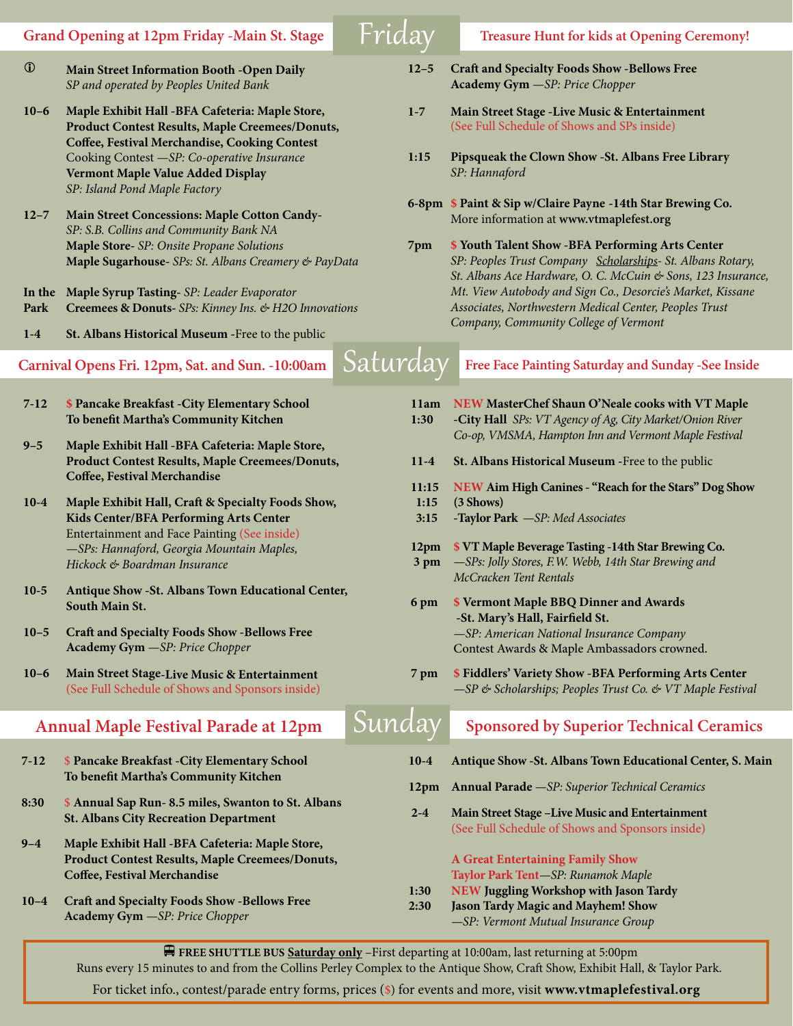i **Main Street Information Booth -Open Daily** *SP and operated by Peoples United Bank* 

- **10–6 Maple Exhibit Hall -BFA Cafeteria: Maple Store, Product Contest Results, Maple Creemees/Donuts, Coffee, Festival Merchandise, Cooking Contest**  Cooking Contest *—SP: Co-operative Insurance* **Vermont Maple Value Added Display**  *SP: Island Pond Maple Factory*
- **12–7 Main Street Concessions: Maple Cotton Candy-***SP: S.B. Collins and Community Bank NA* **Maple Store-** *SP: Onsite Propane Solutions* **Maple Sugarhouse-** *SPs: St. Albans Creamery & PayData*
- **In the Maple Syrup Tasting-** *SP: Leader Evaporator* **Park Creemees & Donuts-** *SPs: Kinney Ins. & H2O Innovations*
- **1-4 St. Albans Historical Museum -**Free to the public
- 
- **7-12 \$ Pancake Breakfast -City Elementary School To benefit Martha's Community Kitchen**
- **9–5 Maple Exhibit Hall -BFA Cafeteria: Maple Store, Product Contest Results, Maple Creemees/Donuts, Coffee, Festival Merchandise**
- **10-4 Maple Exhibit Hall, Craft & Specialty Foods Show, Kids Center/BFA Performing Arts Center** Entertainment and Face Painting (See inside) *—SPs: Hannaford, Georgia Mountain Maples, Hickock & Boardman Insurance*
- **10-5 Antique Show -St. Albans Town Educational Center, South Main St.**
- **10–5 Craft and Specialty Foods Show -Bellows Free Academy Gym** *—SP: Price Chopper*
- **10–6 Main Street Stage-Live Music & Entertainment**  (See Full Schedule of Shows and Sponsors inside)

### **Annual Maple Festival Parade at 12pm**  $\boxed{\mathsf{S}\mathsf{u}}$

- **7-12** \$ **Pancake Breakfast -City Elementary School To benefit Martha's Community Kitchen**
- **8:30** \$ **Annual Sap Run- 8.5 miles, Swanton to St. Albans St. Albans City Recreation Department**
- **9–4 Maple Exhibit Hall -BFA Cafeteria: Maple Store, Product Contest Results, Maple Creemees/Donuts, Coffee, Festival Merchandise**
- **10–4 Craft and Specialty Foods Show -Bellows Free Academy Gym** *—SP: Price Chopper*
- **12–5 Craft and Specialty Foods Show -Bellows Free Academy Gym** *—SP: Price Chopper*
- **1-7 Main Street Stage -Live Music & Entertainment**  (See Full Schedule of Shows and SPs inside)
- **1:15 Pipsqueak the Clown Show -St. Albans Free Library** *SP: Hannaford*
- **6-8pm \$ Paint & Sip w/Claire Payne -14th Star Brewing Co.** More information at **www.vtmaplefest.org**
- **7pm \$ Youth Talent Show -BFA Performing Arts Center**  *SP: Peoples Trust Company Scholarships- St. Albans Rotary, St. Albans Ace Hardware, O. C. McCuin & Sons, 123 Insurance, Mt. View Autobody and Sign Co., Desorcie's Market, Kissane Associates, Northwestern Medical Center, Peoples Trust Company, Community College of Vermont*

# **Carnival Opens Fri. 12pm, Sat. and Sun. -10:00am** Saturday **Free Face Painting Saturday and Sunday -See Inside**

| 11am<br>1:30          | NEW MasterChef Shaun O'Neale cooks with VT Maple<br>-City Hall SPs: VT Agency of Ag, City Market/Onion River<br>Co-op, VMSMA, Hampton Inn and Vermont Maple Festival        |
|-----------------------|-----------------------------------------------------------------------------------------------------------------------------------------------------------------------------|
| $11-4$                | St. Albans Historical Museum - Free to the public                                                                                                                           |
| 11:15<br>1:15<br>3:15 | NEW Aim High Canines - "Reach for the Stars" Dog Show<br>(3 Shows)<br>-Taylor Park -SP: Med Associates                                                                      |
| 12pm<br>3 pm          | \$ VT Maple Beverage Tasting -14th Star Brewing Co.<br>-SPs: Jolly Stores, F.W. Webb, 14th Star Brewing and<br>McCracken Tent Rentals                                       |
| 6 pm                  | <b>\$ Vermont Maple BBQ Dinner and Awards</b><br>-St. Mary's Hall, Fairfield St.<br>-SP: American National Insurance Company<br>Contest Awards & Maple Ambassadors crowned. |
| 7 pm                  | <b>\$ Fiddlers' Variety Show - BFA Performing Arts Center</b><br>-SP & Scholarships; Peoples Trust Co. & VT Maple Festival                                                  |
|                       | <b>Sponsored by Superior Technical Ceramics</b>                                                                                                                             |
| $10-4$                | Antique Show - St. Albans Town Educational Center, S. Main                                                                                                                  |
| 12pm                  | <b>Annual Parade</b> - SP: Superior Technical Ceramics                                                                                                                      |
| $2 - 4$               | Main Street Stage -Live Music and Entertainment<br>(See Full Schedule of Shows and Sponsors inside)                                                                         |
|                       | <b>A Great Entertaining Family Show</b><br>Taylor Park Tent-SP: Runamok Maple                                                                                               |

- **1:30 NEW Juggling Workshop with Jason Tardy**
- **2:30 Jason Tardy Magic and Mayhem! Show** 
	- *—SP: Vermont Mutual Insurance Group*

v**FREE SHUTTLE BUS Saturday only** –First departing at 10:00am, last returning at 5:00pm Runs every 15 minutes to and from the Collins Perley Complex to the Antique Show, Craft Show, Exhibit Hall, & Taylor Park.

For ticket info., contest/parade entry forms, prices (\$) for events and more, visit **www.vtmaplefestival.org**

## Grand Opening at 12pm Friday -Main St. Stage Friday Treasure Hunt for kids at Opening Ceremony!